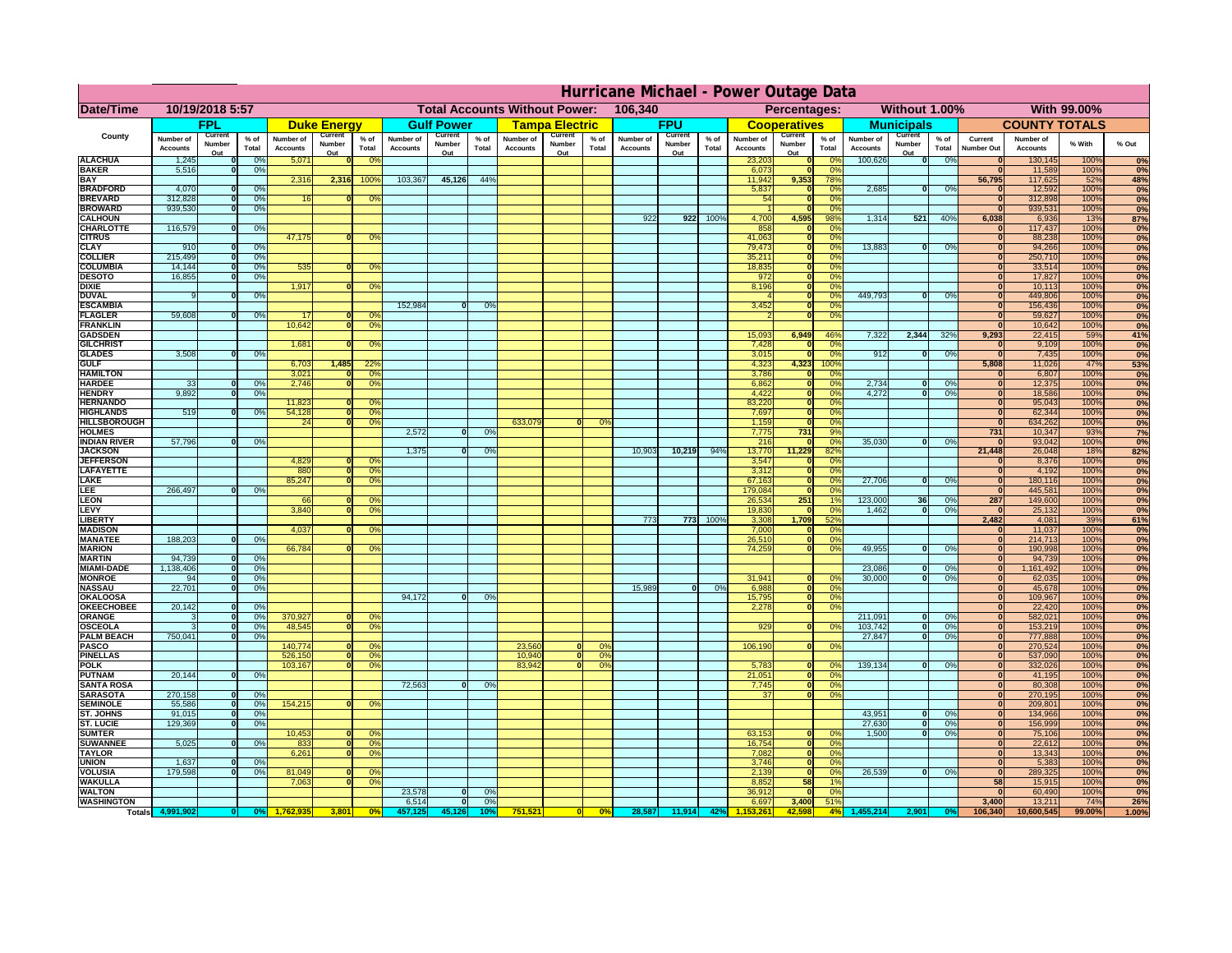|                                       | Hurricane Michael - Power Outage Data |                                 |                        |                                     |                                                 |                        |                              |                                 |                      |                                                            |                                 |                        |                              |                                 |                      |                                     |                                 |                        |                                     |                          |                      |                              |                              |              |                                      |
|---------------------------------------|---------------------------------------|---------------------------------|------------------------|-------------------------------------|-------------------------------------------------|------------------------|------------------------------|---------------------------------|----------------------|------------------------------------------------------------|---------------------------------|------------------------|------------------------------|---------------------------------|----------------------|-------------------------------------|---------------------------------|------------------------|-------------------------------------|--------------------------|----------------------|------------------------------|------------------------------|--------------|--------------------------------------|
| Date/Time                             | 10/19/2018 5:57                       |                                 |                        |                                     | <b>Total Accounts Without Power:</b><br>106,340 |                        |                              |                                 |                      | <b>With 99.00%</b><br>Without 1.00%<br><b>Percentages:</b> |                                 |                        |                              |                                 |                      |                                     |                                 |                        |                                     |                          |                      |                              |                              |              |                                      |
| County                                | <b>FPL</b>                            |                                 | <b>Duke Energy</b>     |                                     |                                                 | <b>Gulf Power</b>      |                              | <u>Tampa Electric</u>           |                      | <b>FPU</b>                                                 |                                 | <b>Cooperatives</b>    |                              | <b>Municipals</b>               |                      |                                     | <b>COUNTY TOTALS</b>            |                        |                                     |                          |                      |                              |                              |              |                                      |
|                                       | <b>Number of</b><br><b>Accounts</b>   | <b>Current</b><br><b>Number</b> | $%$ of<br><b>Total</b> | <b>Number of</b><br><b>Accounts</b> | <b>Current</b><br><b>Number</b>                 | $%$ of<br><b>Total</b> | Number of<br><b>Accounts</b> | <b>Current</b><br><b>Number</b> | % of<br><b>Total</b> | <b>Number of</b><br><b>Accounts</b>                        | <b>Current</b><br><b>Number</b> | $%$ of<br><b>Total</b> | Number of<br><b>Accounts</b> | <b>Current</b><br><b>Number</b> | % of<br><b>Total</b> | <b>Number of</b><br><b>Accounts</b> | <b>Current</b><br><b>Number</b> | $%$ of<br><b>Total</b> | <b>Number of</b><br><b>Accounts</b> | Current<br><b>Number</b> | % of<br><b>Total</b> | <b>Current</b><br>Number Out | Number of<br><b>Accounts</b> | % With       | % Out                                |
| <b>ALACHUA</b>                        | 1,245                                 |                                 | 0%                     | 5,071                               | Q <sub>II</sub>                                 |                        |                              | Out                             |                      |                                                            | Out                             |                        |                              | Out                             |                      | 23,203                              | Q <sub>II</sub>                 |                        | 100,626                             | Q <sub>II</sub>          | 0%                   |                              | 130, 145                     | 100%         | 0%                                   |
| <b>BAKER</b>                          | 5,516                                 |                                 | 0%                     |                                     |                                                 |                        |                              |                                 |                      |                                                            |                                 |                        |                              |                                 |                      | 6,073                               |                                 |                        |                                     |                          |                      |                              | 11,589                       | 100%         | 0%                                   |
| <b>BAY</b>                            |                                       |                                 |                        | 2,316                               | 2,316                                           | 100                    | 103,367                      | 45,126                          | 44%                  |                                                            |                                 |                        |                              |                                 |                      | 11,942                              | 9,353                           | 78%                    |                                     |                          |                      | 56,795                       | 117,625                      | 52%          | 48%                                  |
| <b>BRADFORD</b><br><b>BREVARD</b>     | 4,070<br>312,828                      |                                 | 0%<br>0%               | 16                                  |                                                 |                        |                              |                                 |                      |                                                            |                                 |                        |                              |                                 |                      | 5,837<br>54                         |                                 |                        | 2,685                               |                          | 0%                   |                              | 12,592<br>312,898            | 100%<br>100% | 0%<br>0%                             |
| <b>BROWARD</b>                        | 939,530                               |                                 | 0%                     |                                     |                                                 |                        |                              |                                 |                      |                                                            |                                 |                        |                              |                                 |                      |                                     |                                 |                        |                                     |                          |                      |                              | 939,531                      | 100%         | 0%                                   |
| <b>CALHOUN</b>                        |                                       |                                 |                        |                                     |                                                 |                        |                              |                                 |                      |                                                            |                                 |                        | 922                          |                                 | 922 100%             | 4,700                               | 4,595                           | 98%                    | 1,314                               | 521                      | 40%                  | 6,038                        | 6,936                        | 13%          | 87%                                  |
| <b>CHARLOTTE</b>                      | 116,579                               |                                 | 0%                     |                                     |                                                 |                        |                              |                                 |                      |                                                            |                                 |                        |                              |                                 |                      | 858                                 |                                 |                        |                                     |                          |                      |                              | 117,437                      | 100%         | $\overline{0\%}$                     |
| <b>CITRUS</b><br><b>CLAY</b>          | 910                                   |                                 | 0%                     | 47,175                              |                                                 |                        |                              |                                 |                      |                                                            |                                 |                        |                              |                                 |                      | 41,063<br>79,473                    |                                 |                        | 13,883                              |                          | 0%                   |                              | 88,238<br>94,266             | 100%<br>100% | $\overline{0\%}$<br>$\overline{0\%}$ |
| <b>COLLIER</b>                        | 215,499                               |                                 | 0%                     |                                     |                                                 |                        |                              |                                 |                      |                                                            |                                 |                        |                              |                                 |                      | 35,21'                              |                                 |                        |                                     |                          |                      |                              | 250,710                      | 100%         | 0%                                   |
| <b>COLUMBIA</b>                       | 14,144                                |                                 | 0%                     | 535                                 |                                                 | 0 <sup>o</sup>         |                              |                                 |                      |                                                            |                                 |                        |                              |                                 |                      | 18,835                              |                                 |                        |                                     |                          |                      |                              | 33,514                       | 100%         | $\overline{0\%}$                     |
| <b>DESOTO</b>                         | 16,855                                |                                 | 0%                     |                                     |                                                 |                        |                              |                                 |                      |                                                            |                                 |                        |                              |                                 |                      | 972                                 |                                 |                        |                                     |                          |                      |                              | 17,827                       | 100%         | $\overline{0\%}$                     |
| <b>DIXIE</b><br><b>DUVAL</b>          |                                       |                                 | 0%                     | 1,917                               |                                                 | 0%                     |                              |                                 |                      |                                                            |                                 |                        |                              |                                 |                      | 8,196                               |                                 | 0%                     | 449,793                             | $\mathbf{0}$             | 0%                   |                              | 10,113<br>449,806            | 100%<br>100% | 0%<br>$\overline{0\%}$               |
| <b>ESCAMBIA</b>                       |                                       |                                 |                        |                                     |                                                 |                        | 152,984                      |                                 | 0%                   |                                                            |                                 |                        |                              |                                 |                      | 3,452                               |                                 |                        |                                     |                          |                      |                              | 156,436                      | 100%         | $\overline{0\%}$                     |
| <b>FLAGLER</b>                        | 59,608                                |                                 | 0%                     |                                     |                                                 |                        |                              |                                 |                      |                                                            |                                 |                        |                              |                                 |                      |                                     |                                 |                        |                                     |                          |                      |                              | 59,627                       | 100%         | 0%                                   |
| <b>FRANKLIN</b>                       |                                       |                                 |                        | 10,642                              |                                                 |                        |                              |                                 |                      |                                                            |                                 |                        |                              |                                 |                      |                                     |                                 |                        |                                     |                          |                      |                              | 10,642                       | 100%         | 0%                                   |
| <b>GADSDEN</b><br><b>GILCHRIST</b>    |                                       |                                 |                        |                                     |                                                 |                        |                              |                                 |                      |                                                            |                                 |                        |                              |                                 |                      | 15,093<br>7,428                     | 6,949                           | 46%                    | 7,322                               | 2,344                    | 32%                  | 9,293                        | 22,415                       | 59%<br>100%  | 41%                                  |
| <b>GLADES</b>                         | 3,508                                 |                                 | 0%                     | 1,681                               |                                                 | 0%                     |                              |                                 |                      |                                                            |                                 |                        |                              |                                 |                      | 3,015                               |                                 | 0%<br>$0\%$            | 912                                 |                          | 0%                   |                              | 9,109<br>7,435               | 100%         | $\overline{0\%}$<br>0%               |
| <b>GULF</b>                           |                                       |                                 |                        | 6,703                               | 1,485                                           | 22%                    |                              |                                 |                      |                                                            |                                 |                        |                              |                                 |                      | 4,323                               | 4,323                           | 100%                   |                                     |                          |                      | 5,808                        | 11,026                       | 47%          | 53%                                  |
| <b>HAMILTON</b>                       |                                       |                                 |                        | 3,021                               |                                                 |                        |                              |                                 |                      |                                                            |                                 |                        |                              |                                 |                      | 3,786                               |                                 |                        |                                     |                          |                      |                              | 6,807                        | 100%         | 0%                                   |
| <b>HARDEE</b>                         | 33                                    |                                 | $0\%$                  | 2,746                               |                                                 |                        |                              |                                 |                      |                                                            |                                 |                        |                              |                                 |                      | 6,862                               |                                 |                        | 2,734                               |                          | $0\%$                |                              | 12,375                       | 100%         | $ 0\% $                              |
| <b>HENDRY</b><br><b>HERNANDO</b>      | 9,892                                 |                                 | 0%                     | 11,823                              |                                                 |                        |                              |                                 |                      |                                                            |                                 |                        |                              |                                 |                      | 4,422<br>83,220                     |                                 | $0\%$                  | 4,272                               |                          | 0%                   |                              | 18,586<br>95,043             | 100%<br>100% | 0%<br>0%                             |
| <b>HIGHLANDS</b>                      | 519                                   |                                 | 0%                     | 54,128                              |                                                 | 0 <sup>9</sup>         |                              |                                 |                      |                                                            |                                 |                        |                              |                                 |                      | 7,697                               |                                 |                        |                                     |                          |                      |                              | 62,344                       | 100%         | 0%                                   |
| <b>HILLSBOROUGH</b>                   |                                       |                                 |                        | 24                                  |                                                 |                        |                              |                                 |                      | 633,079                                                    |                                 | 0%                     |                              |                                 |                      | 1,159                               |                                 | $0\%$                  |                                     |                          |                      |                              | 634,262                      | 100%         | 0%                                   |
| <b>HOLMES</b>                         |                                       |                                 |                        |                                     |                                                 |                        | 2,572                        |                                 | 0%                   |                                                            |                                 |                        |                              |                                 |                      | 7,775                               | 731                             | 9%                     |                                     |                          |                      | 731                          | 10,347                       | 93%          | 7%                                   |
| <b>INDIAN RIVER</b><br><b>JACKSON</b> | 57,796                                |                                 | 0%                     |                                     |                                                 |                        | 1,375                        |                                 | 0%                   |                                                            |                                 |                        | 10,903                       | 10,219                          | 94%                  | 216<br>13,770                       | 11,229                          | 82%                    | 35,030                              |                          | 0%                   | 21,448                       | 93,042<br>26,048             | 100%<br>18%  | 0%<br>82%                            |
| <b>JEFFERSON</b>                      |                                       |                                 |                        | 4,829                               |                                                 | 0%                     |                              |                                 |                      |                                                            |                                 |                        |                              |                                 |                      | 3,547                               |                                 |                        |                                     |                          |                      |                              | 8,376                        | 100%         | 0%                                   |
| <b>LAFAYETTE</b>                      |                                       |                                 |                        | 880                                 |                                                 |                        |                              |                                 |                      |                                                            |                                 |                        |                              |                                 |                      | 3,312                               |                                 |                        |                                     |                          |                      |                              | 4,192                        | 100%         | 0%                                   |
| <b>LAKE</b>                           |                                       |                                 |                        | 85,247                              |                                                 |                        |                              |                                 |                      |                                                            |                                 |                        |                              |                                 |                      | 67,163                              |                                 |                        | 27,706                              | n.                       | 0%                   |                              | 180,116                      | 100%         | 0%                                   |
| <b>LEE</b><br><b>LEON</b>             | 266,497                               |                                 | 0%                     | 66                                  |                                                 | 0 <sup>o</sup>         |                              |                                 |                      |                                                            |                                 |                        |                              |                                 |                      | 179,084<br>26,534                   | 251                             |                        | 123,000                             | 36                       | 0%                   | 287                          | 445,581<br>149,600           | 100%<br>100% | 0%<br>0%                             |
| LEVY                                  |                                       |                                 |                        | 3,840                               |                                                 | 0 <sup>°</sup>         |                              |                                 |                      |                                                            |                                 |                        |                              |                                 |                      | 19,830                              |                                 |                        | 1,462                               |                          | 0%                   |                              | 25,132                       | 100%         | 0%                                   |
| <b>LIBERTY</b>                        |                                       |                                 |                        |                                     |                                                 |                        |                              |                                 |                      |                                                            |                                 |                        | 773                          | 773                             | 100%                 | 3,308                               | 1,709                           | 52%                    |                                     |                          |                      | 2,482                        | 4,081                        | 39%          | 61%                                  |
| <b>MADISON</b>                        |                                       |                                 |                        | 4,037                               |                                                 | 0 <sup>9</sup>         |                              |                                 |                      |                                                            |                                 |                        |                              |                                 |                      | 7,000                               |                                 |                        |                                     |                          |                      |                              | 11,037                       | 100%         | 0%                                   |
| <b>MANATEE</b><br><b>MARION</b>       | 188,203                               |                                 | 0%                     | 66,784                              | ΩI                                              | 0%                     |                              |                                 |                      |                                                            |                                 |                        |                              |                                 |                      | 26,510<br>74,259                    |                                 | $0\%$<br>0%            | 49,955                              | 0L.                      | 0%                   |                              | 214,713<br>190,998           | 100%<br>100% | 0%<br>0%                             |
| <b>MARTIN</b>                         | 94,739                                |                                 | 0%                     |                                     |                                                 |                        |                              |                                 |                      |                                                            |                                 |                        |                              |                                 |                      |                                     |                                 |                        |                                     |                          |                      |                              | 94,739                       | 100%         | 0%                                   |
| <b>MIAMI-DADE</b>                     | 1,138,406                             |                                 | 0%                     |                                     |                                                 |                        |                              |                                 |                      |                                                            |                                 |                        |                              |                                 |                      |                                     |                                 |                        | 23,086                              |                          | 0%                   |                              | ,161,492                     | 100%         | 0%                                   |
| <b>MONROE</b>                         |                                       |                                 | 0%                     |                                     |                                                 |                        |                              |                                 |                      |                                                            |                                 |                        |                              |                                 |                      | 31,941                              |                                 |                        | 30,000                              |                          | 0%                   |                              | 62,035                       | 100%         | 0%                                   |
| <b>NASSAU</b><br><b>OKALOOSA</b>      | 22,701                                |                                 | 0%                     |                                     |                                                 |                        | 94,172                       |                                 | 0%                   |                                                            |                                 |                        | 15,989                       |                                 | 0%                   | 6,988<br>15,795                     |                                 | 0%                     |                                     |                          |                      |                              | 45,678                       | 100%<br>100% | 0%<br>0%                             |
| <b>OKEECHOBEE</b>                     | 20,142                                |                                 | 0%                     |                                     |                                                 |                        |                              |                                 |                      |                                                            |                                 |                        |                              |                                 |                      | 2,278                               |                                 | $\sqrt{0\%}$           |                                     |                          |                      |                              | 109,967<br>22,420            | 100%         | 0%                                   |
| <b>ORANGE</b>                         |                                       |                                 | 0%                     | 370,927                             |                                                 | 0 <sup>o</sup>         |                              |                                 |                      |                                                            |                                 |                        |                              |                                 |                      |                                     |                                 |                        | 211,091                             |                          | 0%                   |                              | 582,021                      | 100%         | 0%                                   |
| <b>OSCEOLA</b>                        |                                       |                                 | 0%                     | 48,545                              |                                                 |                        |                              |                                 |                      |                                                            |                                 |                        |                              |                                 |                      | 929                                 |                                 |                        | 103,742                             |                          | 0%                   |                              | 153,219                      | 100%         | 0%                                   |
| <b>PALM BEACH</b>                     | 750,041                               |                                 | 0%                     |                                     |                                                 | 0%                     |                              |                                 |                      |                                                            |                                 | 0%                     |                              |                                 |                      |                                     |                                 |                        | 27,847                              |                          | 0%                   |                              | 777,888                      | 100%<br>100% | 0%                                   |
| <b>PASCO</b><br><b>PINELLAS</b>       |                                       |                                 |                        | 140,774<br>526,150                  |                                                 | 0%                     |                              |                                 |                      | 23,560<br>10,940                                           |                                 | 0%                     |                              |                                 |                      | 106,190                             |                                 | 0%                     |                                     |                          |                      |                              | 270,524<br>537,090           | 100%         | 0%<br>0%                             |
| <b>POLK</b>                           |                                       |                                 |                        | 103,167                             |                                                 | 0 <sup>9</sup>         |                              |                                 |                      | 83,942                                                     |                                 | 0%                     |                              |                                 |                      | 5,783                               |                                 |                        | 139,134                             |                          | 0%                   |                              | 332,026                      | 100%         | 0%                                   |
| <b>PUTNAM</b>                         | 20,144                                |                                 | 0%                     |                                     |                                                 |                        |                              |                                 |                      |                                                            |                                 |                        |                              |                                 |                      | 21,051                              |                                 |                        |                                     |                          |                      |                              | 41,195                       | 100%         | 0%                                   |
| <b>SANTA ROSA</b><br><b>SARASOTA</b>  | 270,158                               |                                 | 0%                     |                                     |                                                 |                        | 72,563                       |                                 | 0%                   |                                                            |                                 |                        |                              |                                 |                      | 7,745<br>37                         |                                 | 0%<br>0%               |                                     |                          |                      | 0                            | 80,308<br>270,195            | 100%<br>100% | $ 0\% $<br>0%                        |
| <b>SEMINOLE</b>                       | 55,586                                |                                 | 0%                     | 154,215                             |                                                 | 0%                     |                              |                                 |                      |                                                            |                                 |                        |                              |                                 |                      |                                     |                                 |                        |                                     |                          |                      |                              | 209,801                      | 100%         | 0%                                   |
| <b>ST. JOHNS</b>                      | 91,015                                |                                 | 0%                     |                                     |                                                 |                        |                              |                                 |                      |                                                            |                                 |                        |                              |                                 |                      |                                     |                                 |                        | 43,951                              | 0                        | 0%                   |                              | 134,966                      | 100%         | 0%                                   |
| <b>ST. LUCIE</b>                      | 129,369                               |                                 | 0%                     |                                     |                                                 |                        |                              |                                 |                      |                                                            |                                 |                        |                              |                                 |                      |                                     |                                 |                        | 27,630                              |                          | 0%                   |                              | 156,999                      | 100%         | 0%                                   |
| <b>SUMTER</b>                         |                                       |                                 |                        | 10,453                              | 0                                               | 0%<br>0 <sup>o</sup>   |                              |                                 |                      |                                                            |                                 |                        |                              |                                 |                      | 63,153                              |                                 | 0%                     | 1,500                               | 0                        | 0%                   |                              | 75,106                       | 100%         | 0%                                   |
| <b>SUWANNEE</b><br><b>TAYLOR</b>      | 5,025                                 |                                 | 0%                     | 833<br>6,261                        | 0                                               | 0%                     |                              |                                 |                      |                                                            |                                 |                        |                              |                                 |                      | 16,754<br>7,082                     |                                 | 0%<br>0%               |                                     |                          |                      |                              | 22,612<br>13,343             | 100%<br>100% | 0%<br>0%                             |
| <b>UNION</b>                          | 1,637                                 |                                 | 0%                     |                                     |                                                 |                        |                              |                                 |                      |                                                            |                                 |                        |                              |                                 |                      | 3,746                               |                                 | 0%                     |                                     |                          |                      |                              | 5,383                        | 100%         | 0%                                   |
| <b>VOLUSIA</b>                        | 179,598                               |                                 | 0%                     | 81,049                              |                                                 | 0%                     |                              |                                 |                      |                                                            |                                 |                        |                              |                                 |                      | 2,139                               |                                 | 0%                     | 26,539                              | $\Omega$                 | 0%                   | $\mathbf{0}$                 | 289,325                      | 100%         | 0%                                   |
| <b>WAKULLA</b><br><b>WALTON</b>       |                                       |                                 |                        | 7,063                               | 0                                               | 0%                     |                              |                                 |                      |                                                            |                                 |                        |                              |                                 |                      | 8,852                               | 58                              | 1%<br>0%               |                                     |                          |                      | 58                           | 15,915                       | 100%<br>100% | 0%<br>0%                             |
| <b>WASHINGTON</b>                     |                                       |                                 |                        |                                     |                                                 |                        | 23,578<br>6,514              |                                 | 0%<br>0%             |                                                            |                                 |                        |                              |                                 |                      | 36,912<br>6,697                     | 3,400                           | 51%                    |                                     |                          |                      | 3,400                        | 60,490<br>13,211             | 74%          | 26%                                  |
| <b>Totals</b>                         | 4,991,902                             | - 0 I                           | $\log$                 | <mark>1,762,935</mark>              | 3,801                                           | $\log$                 | 457,125                      | 45,126                          | 10%                  | 751,521                                                    | 0                               | $ 0\% $                | 28,587                       |                                 | $11,914$ 42%         | 1,153,261                           | 42,598                          | 4%                     | 1,455,214                           | 2,901                    | $\mathbf{0\%}$       | 106,340                      | 10,600,545                   | 99.00%       | 1.00%                                |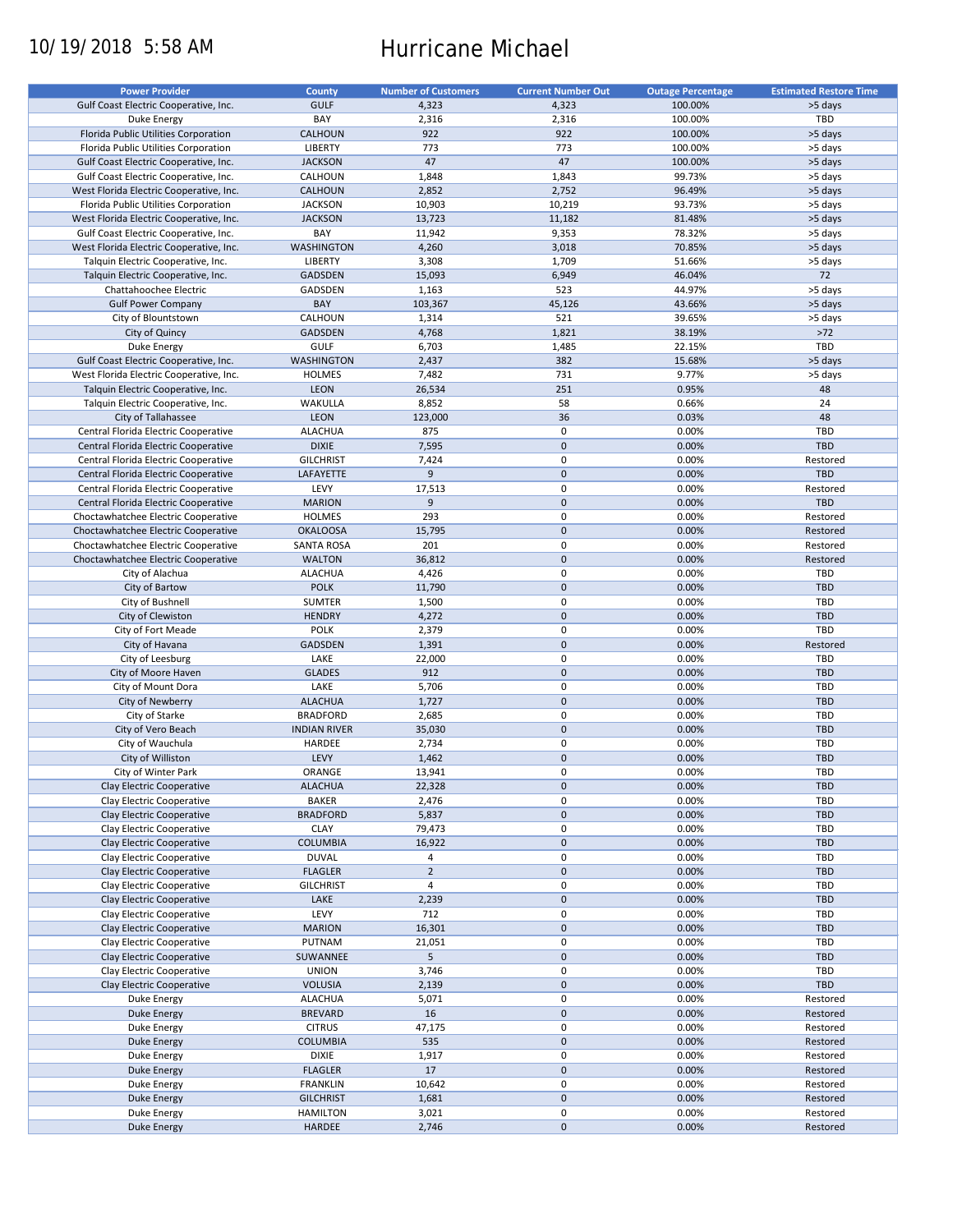# 10/19/2018 5:58 AM Hurricane Michael

| <b>Power Provider</b>                   | <b>County</b>       | <b>Number of Customers</b> | <b>Current Number Out</b> | <b>Outage Percentage</b> | <b>Estimated Restore Time</b> |
|-----------------------------------------|---------------------|----------------------------|---------------------------|--------------------------|-------------------------------|
| Gulf Coast Electric Cooperative, Inc.   | <b>GULF</b>         | 4,323                      | 4,323                     | 100.00%                  | >5 days                       |
| Duke Energy                             | BAY                 | 2,316                      | 2,316                     | 100.00%                  | <b>TBD</b>                    |
| Florida Public Utilities Corporation    | <b>CALHOUN</b>      | 922                        | 922                       | 100.00%                  | >5 days                       |
| Florida Public Utilities Corporation    | <b>LIBERTY</b>      | 773                        | 773                       | 100.00%                  | >5 days                       |
| Gulf Coast Electric Cooperative, Inc.   | <b>JACKSON</b>      | 47                         | 47                        | 100.00%                  | >5 days                       |
| Gulf Coast Electric Cooperative, Inc.   | <b>CALHOUN</b>      | 1,848                      | 1,843                     | 99.73%                   | >5 days                       |
| West Florida Electric Cooperative, Inc. | <b>CALHOUN</b>      | 2,852                      | 2,752                     | 96.49%                   | >5 days                       |
|                                         | <b>JACKSON</b>      | 10,903                     | 10,219                    | 93.73%                   |                               |
| Florida Public Utilities Corporation    |                     |                            |                           |                          | >5 days                       |
| West Florida Electric Cooperative, Inc. | <b>JACKSON</b>      | 13,723                     | 11,182                    | 81.48%                   | >5 days                       |
| Gulf Coast Electric Cooperative, Inc.   | BAY                 | 11,942                     | 9,353                     | 78.32%                   | >5 days                       |
| West Florida Electric Cooperative, Inc. | <b>WASHINGTON</b>   | 4,260                      | 3,018                     | 70.85%                   | >5 days                       |
| Talquin Electric Cooperative, Inc.      | <b>LIBERTY</b>      | 3,308                      | 1,709                     | 51.66%                   | >5 days                       |
| Talquin Electric Cooperative, Inc.      | <b>GADSDEN</b>      | 15,093                     | 6,949                     | 46.04%                   | 72                            |
| Chattahoochee Electric                  | <b>GADSDEN</b>      | 1,163                      | 523                       | 44.97%                   | >5 days                       |
| <b>Gulf Power Company</b>               | <b>BAY</b>          | 103,367                    | 45,126                    | 43.66%                   | >5 days                       |
| City of Blountstown                     | <b>CALHOUN</b>      | 1,314                      | 521                       | 39.65%                   | >5 days                       |
| City of Quincy                          | <b>GADSDEN</b>      | 4,768                      | 1,821                     | 38.19%                   | $>72$                         |
| Duke Energy                             | <b>GULF</b>         | 6,703                      | 1,485                     | 22.15%                   | <b>TBD</b>                    |
| Gulf Coast Electric Cooperative, Inc.   | <b>WASHINGTON</b>   | 2,437                      | 382                       | 15.68%                   | >5 days                       |
| West Florida Electric Cooperative, Inc. | <b>HOLMES</b>       | 7,482                      | 731                       | 9.77%                    | >5 days                       |
| Talquin Electric Cooperative, Inc.      | <b>LEON</b>         | 26,534                     | 251                       | 0.95%                    | 48                            |
| Talquin Electric Cooperative, Inc.      | <b>WAKULLA</b>      | 8,852                      | 58                        | 0.66%                    | 24                            |
| City of Tallahassee                     | <b>LEON</b>         | 123,000                    | 36                        | 0.03%                    | 48                            |
| Central Florida Electric Cooperative    | <b>ALACHUA</b>      | 875                        | 0                         | 0.00%                    | <b>TBD</b>                    |
|                                         |                     |                            |                           |                          |                               |
| Central Florida Electric Cooperative    | <b>DIXIE</b>        | 7,595                      | 0                         | 0.00%                    | <b>TBD</b>                    |
| Central Florida Electric Cooperative    | <b>GILCHRIST</b>    | 7,424                      | 0                         | 0.00%                    | Restored                      |
| Central Florida Electric Cooperative    | LAFAYETTE           | 9                          | $\mathbf 0$               | 0.00%                    | <b>TBD</b>                    |
| Central Florida Electric Cooperative    | LEVY                | 17,513                     | 0                         | 0.00%                    | Restored                      |
| Central Florida Electric Cooperative    | <b>MARION</b>       | $9$                        | 0                         | 0.00%                    | <b>TBD</b>                    |
| Choctawhatchee Electric Cooperative     | <b>HOLMES</b>       | 293                        | 0                         | 0.00%                    | Restored                      |
| Choctawhatchee Electric Cooperative     | <b>OKALOOSA</b>     | 15,795                     | 0                         | 0.00%                    | Restored                      |
| Choctawhatchee Electric Cooperative     | <b>SANTA ROSA</b>   | 201                        | 0                         | 0.00%                    | Restored                      |
| Choctawhatchee Electric Cooperative     | <b>WALTON</b>       | 36,812                     | 0                         | 0.00%                    | Restored                      |
| City of Alachua                         | <b>ALACHUA</b>      | 4,426                      | 0                         | 0.00%                    | <b>TBD</b>                    |
| City of Bartow                          | <b>POLK</b>         | 11,790                     | 0                         | 0.00%                    | <b>TBD</b>                    |
| City of Bushnell                        | <b>SUMTER</b>       | 1,500                      | 0                         | 0.00%                    | <b>TBD</b>                    |
| City of Clewiston                       | <b>HENDRY</b>       | 4,272                      | 0                         | 0.00%                    | <b>TBD</b>                    |
| City of Fort Meade                      | <b>POLK</b>         | 2,379                      | 0                         | 0.00%                    | <b>TBD</b>                    |
| City of Havana                          | <b>GADSDEN</b>      | 1,391                      | $\mathbf 0$               | 0.00%                    | Restored                      |
| City of Leesburg                        | LAKE                | 22,000                     | 0                         | 0.00%                    | <b>TBD</b>                    |
| City of Moore Haven                     | <b>GLADES</b>       | 912                        | 0                         | 0.00%                    | <b>TBD</b>                    |
|                                         |                     |                            |                           |                          | <b>TBD</b>                    |
| City of Mount Dora                      | LAKE                | 5,706                      | 0                         | 0.00%                    |                               |
| City of Newberry                        | <b>ALACHUA</b>      | 1,727                      | 0                         | 0.00%                    | <b>TBD</b>                    |
| City of Starke                          | <b>BRADFORD</b>     | 2,685                      | 0                         | 0.00%                    | <b>TBD</b>                    |
| City of Vero Beach                      | <b>INDIAN RIVER</b> | 35,030                     | 0                         | 0.00%                    | <b>TBD</b>                    |
| City of Wauchula                        | <b>HARDEE</b>       | 2,734                      | 0                         | 0.00%                    | <b>TBD</b>                    |
| City of Williston                       | LEVY                | 1,462                      | 0                         | 0.00%                    | <b>TBD</b>                    |
| City of Winter Park                     | ORANGE              | 13,941                     | 0                         | 0.00%                    | <b>TBD</b>                    |
| <b>Clay Electric Cooperative</b>        | <b>ALACHUA</b>      | 22,328                     | $\mathbf 0$               | 0.00%                    | <b>TBD</b>                    |
| Clay Electric Cooperative               | <b>BAKER</b>        | 2,476                      | 0                         | 0.00%                    | <b>TBD</b>                    |
| Clay Electric Cooperative               | <b>BRADFORD</b>     | 5,837                      | 0                         | 0.00%                    | <b>TBD</b>                    |
| Clay Electric Cooperative               | <b>CLAY</b>         | 79,473                     | 0                         | 0.00%                    | <b>TBD</b>                    |
| Clay Electric Cooperative               | <b>COLUMBIA</b>     | 16,922                     | 0                         | 0.00%                    | <b>TBD</b>                    |
| Clay Electric Cooperative               | <b>DUVAL</b>        | 4                          | 0                         | 0.00%                    | <b>TBD</b>                    |
| <b>Clay Electric Cooperative</b>        | <b>FLAGLER</b>      | $\overline{2}$             | 0                         | 0.00%                    | <b>TBD</b>                    |
| <b>Clay Electric Cooperative</b>        | <b>GILCHRIST</b>    | $\overline{4}$             | 0                         | 0.00%                    | <b>TBD</b>                    |
| Clay Electric Cooperative               | LAKE                | 2,239                      | 0                         | 0.00%                    | <b>TBD</b>                    |
| Clay Electric Cooperative               | LEVY                | 712                        | 0                         | 0.00%                    | <b>TBD</b>                    |
| <b>Clay Electric Cooperative</b>        | <b>MARION</b>       | 16,301                     | 0                         | 0.00%                    | <b>TBD</b>                    |
|                                         |                     |                            |                           |                          |                               |
| Clay Electric Cooperative               | <b>PUTNAM</b>       | 21,051                     | 0                         | 0.00%                    | <b>TBD</b>                    |
| Clay Electric Cooperative               | SUWANNEE            | 5                          | $\boldsymbol{0}$          | 0.00%                    | <b>TBD</b>                    |
| <b>Clay Electric Cooperative</b>        | <b>UNION</b>        | 3,746                      | 0                         | 0.00%                    | <b>TBD</b>                    |
| <b>Clay Electric Cooperative</b>        | <b>VOLUSIA</b>      | 2,139                      | $\boldsymbol{0}$          | 0.00%                    | <b>TBD</b>                    |
| Duke Energy                             | <b>ALACHUA</b>      | 5,071                      | 0                         | 0.00%                    | Restored                      |
| Duke Energy                             | <b>BREVARD</b>      | 16                         | $\pmb{0}$                 | 0.00%                    | Restored                      |
| Duke Energy                             | <b>CITRUS</b>       | 47,175                     | 0                         | 0.00%                    | Restored                      |
| Duke Energy                             | <b>COLUMBIA</b>     | 535                        | 0                         | 0.00%                    | Restored                      |
| Duke Energy                             | <b>DIXIE</b>        | 1,917                      | 0                         | 0.00%                    | Restored                      |
| Duke Energy                             | <b>FLAGLER</b>      | 17                         | $\pmb{0}$                 | 0.00%                    | Restored                      |
| Duke Energy                             | <b>FRANKLIN</b>     | 10,642                     | 0                         | 0.00%                    | Restored                      |
| <b>Duke Energy</b>                      | <b>GILCHRIST</b>    | 1,681                      | $\pmb{0}$                 | 0.00%                    | Restored                      |
| Duke Energy                             | <b>HAMILTON</b>     | 3,021                      | 0                         | 0.00%                    | Restored                      |
| <b>Duke Energy</b>                      | HARDEE              | 2,746                      | $\pmb{0}$                 | 0.00%                    | Restored                      |
|                                         |                     |                            |                           |                          |                               |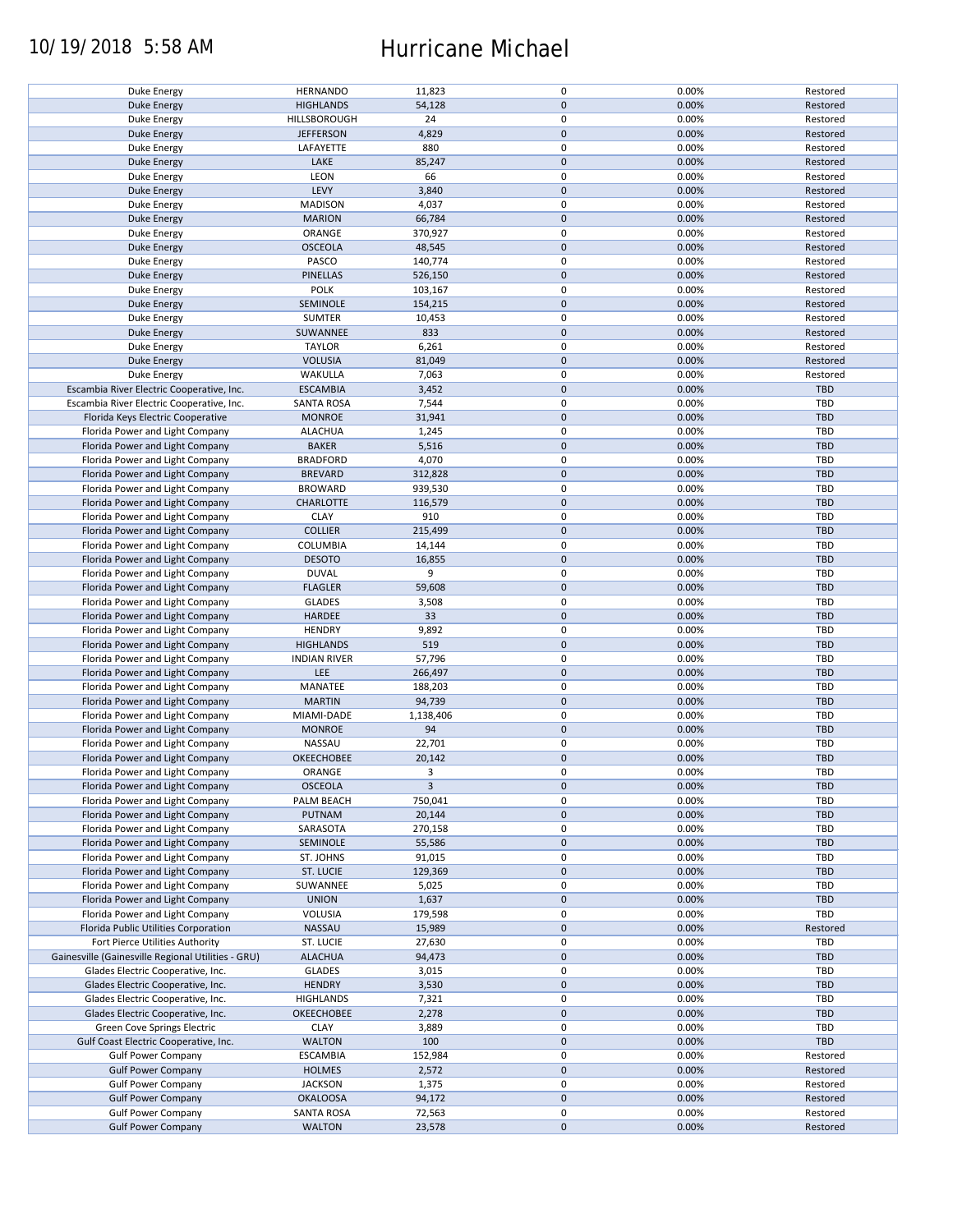# 10/19/2018 5:58 AM Hurricane Michael

| Duke Energy                                        | <b>HERNANDO</b>     | 11,823    | 0                | 0.00% | Restored   |
|----------------------------------------------------|---------------------|-----------|------------------|-------|------------|
|                                                    |                     |           |                  |       |            |
| <b>Duke Energy</b>                                 | <b>HIGHLANDS</b>    | 54,128    | 0                | 0.00% | Restored   |
| Duke Energy                                        | HILLSBOROUGH        | 24        | $\mathbf 0$      | 0.00% | Restored   |
| <b>Duke Energy</b>                                 | <b>JEFFERSON</b>    | 4,829     | 0                | 0.00% | Restored   |
|                                                    |                     |           |                  |       |            |
| Duke Energy                                        | LAFAYETTE           | 880       | $\mathbf 0$      | 0.00% | Restored   |
| <b>Duke Energy</b>                                 | LAKE                | 85,247    | 0                | 0.00% | Restored   |
| Duke Energy                                        | <b>LEON</b>         | 66        | 0                | 0.00% | Restored   |
|                                                    |                     |           |                  |       |            |
| Duke Energy                                        | LEVY                | 3,840     | $\mathbf 0$      | 0.00% | Restored   |
| Duke Energy                                        | <b>MADISON</b>      | 4,037     | 0                | 0.00% | Restored   |
| <b>Duke Energy</b>                                 | <b>MARION</b>       | 66,784    | $\pmb{0}$        | 0.00% | Restored   |
|                                                    |                     |           |                  |       |            |
| Duke Energy                                        | ORANGE              | 370,927   | 0                | 0.00% | Restored   |
| Duke Energy                                        | <b>OSCEOLA</b>      | 48,545    | $\mathbf{0}$     | 0.00% | Restored   |
| <b>Duke Energy</b>                                 | <b>PASCO</b>        | 140,774   | 0                | 0.00% | Restored   |
| <b>Duke Energy</b>                                 | <b>PINELLAS</b>     | 526,150   | 0                | 0.00% | Restored   |
|                                                    |                     |           |                  |       |            |
| Duke Energy                                        | <b>POLK</b>         | 103,167   | $\mathbf 0$      | 0.00% | Restored   |
| <b>Duke Energy</b>                                 | SEMINOLE            | 154,215   | 0                | 0.00% | Restored   |
| Duke Energy                                        | <b>SUMTER</b>       | 10,453    | 0                | 0.00% | Restored   |
|                                                    |                     |           |                  |       |            |
| <b>Duke Energy</b>                                 | SUWANNEE            | 833       | $\overline{0}$   | 0.00% | Restored   |
| Duke Energy                                        | <b>TAYLOR</b>       | 6,261     | 0                | 0.00% | Restored   |
| <b>Duke Energy</b>                                 | <b>VOLUSIA</b>      | 81,049    | 0                | 0.00% | Restored   |
|                                                    |                     |           |                  |       |            |
| Duke Energy                                        | WAKULLA             | 7,063     | 0                | 0.00% | Restored   |
| Escambia River Electric Cooperative, Inc.          | <b>ESCAMBIA</b>     | 3,452     | $\pmb{0}$        | 0.00% | <b>TBD</b> |
| Escambia River Electric Cooperative, Inc.          | <b>SANTA ROSA</b>   | 7,544     | 0                | 0.00% | TBD        |
|                                                    | <b>MONROE</b>       |           |                  |       | <b>TBD</b> |
| Florida Keys Electric Cooperative                  |                     | 31,941    | $\mathbf{0}$     | 0.00% |            |
| Florida Power and Light Company                    | <b>ALACHUA</b>      | 1,245     | 0                | 0.00% | <b>TBD</b> |
| Florida Power and Light Company                    | <b>BAKER</b>        | 5,516     | 0                | 0.00% | <b>TBD</b> |
|                                                    | <b>BRADFORD</b>     |           | 0                | 0.00% | <b>TBD</b> |
| Florida Power and Light Company                    |                     | 4,070     |                  |       |            |
| Florida Power and Light Company                    | <b>BREVARD</b>      | 312,828   | 0                | 0.00% | <b>TBD</b> |
| Florida Power and Light Company                    | <b>BROWARD</b>      | 939,530   | 0                | 0.00% | TBD        |
| Florida Power and Light Company                    | <b>CHARLOTTE</b>    | 116,579   | 0                | 0.00% | <b>TBD</b> |
|                                                    |                     |           |                  |       |            |
| Florida Power and Light Company                    | <b>CLAY</b>         | 910       | 0                | 0.00% | TBD        |
| Florida Power and Light Company                    | <b>COLLIER</b>      | 215,499   | $\overline{0}$   | 0.00% | <b>TBD</b> |
| Florida Power and Light Company                    | <b>COLUMBIA</b>     | 14,144    | 0                | 0.00% | <b>TBD</b> |
|                                                    |                     |           |                  |       |            |
| Florida Power and Light Company                    | <b>DESOTO</b>       | 16,855    | $\mathbf{0}$     | 0.00% | <b>TBD</b> |
| Florida Power and Light Company                    | <b>DUVAL</b>        | 9         | 0                | 0.00% | <b>TBD</b> |
| Florida Power and Light Company                    | <b>FLAGLER</b>      | 59,608    | 0                | 0.00% | <b>TBD</b> |
|                                                    |                     |           |                  |       |            |
| Florida Power and Light Company                    | <b>GLADES</b>       | 3,508     | 0                | 0.00% | <b>TBD</b> |
| Florida Power and Light Company                    | <b>HARDEE</b>       | 33        | 0                | 0.00% | <b>TBD</b> |
| Florida Power and Light Company                    | <b>HENDRY</b>       | 9,892     | $\mathbf 0$      | 0.00% | TBD        |
|                                                    |                     |           |                  |       |            |
| Florida Power and Light Company                    | <b>HIGHLANDS</b>    | 519       | 0                | 0.00% | TBD        |
| Florida Power and Light Company                    | <b>INDIAN RIVER</b> | 57,796    | 0                | 0.00% | TBD        |
| Florida Power and Light Company                    | <b>LEE</b>          | 266,497   | $\mathbf{0}$     | 0.00% | <b>TBD</b> |
|                                                    |                     |           |                  |       |            |
| Florida Power and Light Company                    | <b>MANATEE</b>      | 188,203   | 0                | 0.00% | <b>TBD</b> |
| Florida Power and Light Company                    | <b>MARTIN</b>       | 94,739    | $\mathbf{0}$     | 0.00% | <b>TBD</b> |
| Florida Power and Light Company                    | MIAMI-DADE          | 1,138,406 | 0                | 0.00% | <b>TBD</b> |
| Florida Power and Light Company                    | <b>MONROE</b>       | 94        |                  | 0.00% | <b>TBD</b> |
|                                                    |                     |           | $\mathbf{0}$     |       |            |
| Florida Power and Light Company                    | <b>NASSAU</b>       | 22,701    | 0                | 0.00% | <b>TBD</b> |
| Florida Power and Light Company                    | <b>OKEECHOBEE</b>   | 20,142    | 0                | 0.00% | <b>TBD</b> |
| Florida Power and Light Company                    | ORANGE              | 3         | 0                | 0.00% | <b>TBD</b> |
|                                                    |                     |           |                  |       |            |
| Florida Power and Light Company                    | <b>OSCEOLA</b>      | 3         | 0                | 0.00% | <b>TBD</b> |
| Florida Power and Light Company                    | PALM BEACH          | 750,041   | 0                | 0.00% | <b>TBD</b> |
| Florida Power and Light Company                    | <b>PUTNAM</b>       | 20,144    | 0                | 0.00% | <b>TBD</b> |
|                                                    |                     |           |                  |       |            |
| Florida Power and Light Company                    | SARASOTA            | 270,158   | 0                | 0.00% | TBD        |
| Florida Power and Light Company                    | SEMINOLE            | 55,586    | $\mathbf{0}$     | 0.00% | <b>TBD</b> |
| Florida Power and Light Company                    | ST. JOHNS           | 91,015    | $\mathbf 0$      | 0.00% | <b>TBD</b> |
|                                                    | <b>ST. LUCIE</b>    |           |                  | 0.00% | <b>TBD</b> |
| Florida Power and Light Company                    |                     | 129,369   | $\pmb{0}$        |       |            |
| Florida Power and Light Company                    | SUWANNEE            | 5,025     | 0                | 0.00% | <b>TBD</b> |
| Florida Power and Light Company                    | <b>UNION</b>        | 1,637     | $\mathbf{0}$     | 0.00% | <b>TBD</b> |
| Florida Power and Light Company                    | VOLUSIA             | 179,598   | 0                | 0.00% | <b>TBD</b> |
|                                                    |                     |           |                  |       |            |
| Florida Public Utilities Corporation               | NASSAU              | 15,989    | 0                | 0.00% | Restored   |
| Fort Pierce Utilities Authority                    | <b>ST. LUCIE</b>    | 27,630    | $\mathbf 0$      | 0.00% | <b>TBD</b> |
| Gainesville (Gainesville Regional Utilities - GRU) | <b>ALACHUA</b>      | 94,473    | 0                | 0.00% | <b>TBD</b> |
|                                                    |                     |           |                  |       |            |
| Glades Electric Cooperative, Inc.                  | <b>GLADES</b>       | 3,015     | 0                | 0.00% | <b>TBD</b> |
| Glades Electric Cooperative, Inc.                  | <b>HENDRY</b>       | 3,530     | 0                | 0.00% | <b>TBD</b> |
| Glades Electric Cooperative, Inc.                  | <b>HIGHLANDS</b>    | 7,321     | 0                | 0.00% | <b>TBD</b> |
|                                                    |                     |           |                  |       |            |
| Glades Electric Cooperative, Inc.                  | <b>OKEECHOBEE</b>   | 2,278     | $\pmb{0}$        | 0.00% | <b>TBD</b> |
| <b>Green Cove Springs Electric</b>                 | <b>CLAY</b>         | 3,889     | 0                | 0.00% | <b>TBD</b> |
| Gulf Coast Electric Cooperative, Inc.              | <b>WALTON</b>       | 100       | $\boldsymbol{0}$ | 0.00% | <b>TBD</b> |
|                                                    |                     |           |                  |       |            |
| <b>Gulf Power Company</b>                          | <b>ESCAMBIA</b>     | 152,984   | 0                | 0.00% | Restored   |
| <b>Gulf Power Company</b>                          | <b>HOLMES</b>       | 2,572     | $\mathbf{0}$     | 0.00% | Restored   |
| <b>Gulf Power Company</b>                          | <b>JACKSON</b>      | 1,375     | 0                | 0.00% | Restored   |
| <b>Gulf Power Company</b>                          | <b>OKALOOSA</b>     | 94,172    | 0                | 0.00% | Restored   |
|                                                    |                     |           |                  |       |            |
| <b>Gulf Power Company</b>                          | <b>SANTA ROSA</b>   | 72,563    | 0                | 0.00% | Restored   |
| <b>Gulf Power Company</b>                          | <b>WALTON</b>       | 23,578    | $\mathbf{0}$     | 0.00% | Restored   |